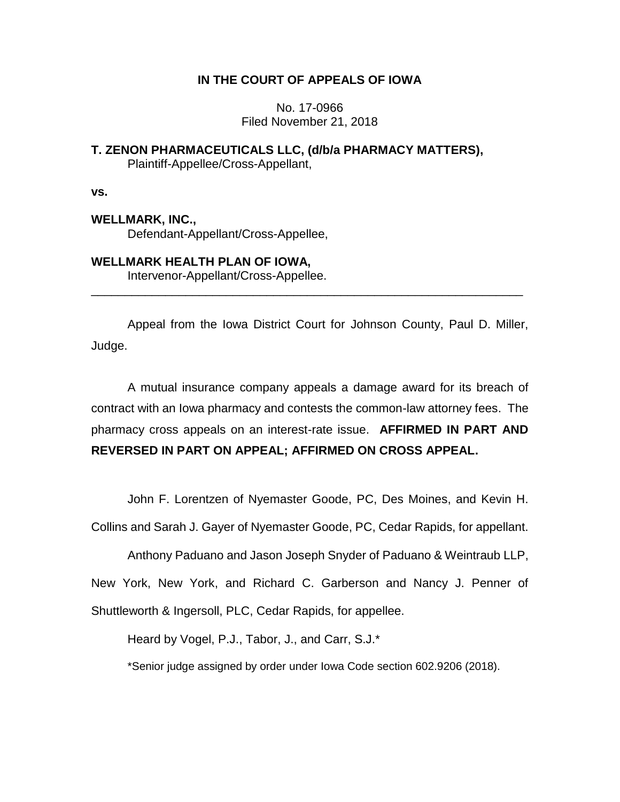# **IN THE COURT OF APPEALS OF IOWA**

No. 17-0966 Filed November 21, 2018

## **T. ZENON PHARMACEUTICALS LLC, (d/b/a PHARMACY MATTERS),** Plaintiff-Appellee/Cross-Appellant,

**vs.**

# **WELLMARK, INC.,**

Defendant-Appellant/Cross-Appellee,

## **WELLMARK HEALTH PLAN OF IOWA,**

Intervenor-Appellant/Cross-Appellee.

Appeal from the Iowa District Court for Johnson County, Paul D. Miller, Judge.

\_\_\_\_\_\_\_\_\_\_\_\_\_\_\_\_\_\_\_\_\_\_\_\_\_\_\_\_\_\_\_\_\_\_\_\_\_\_\_\_\_\_\_\_\_\_\_\_\_\_\_\_\_\_\_\_\_\_\_\_\_\_\_\_

A mutual insurance company appeals a damage award for its breach of contract with an Iowa pharmacy and contests the common-law attorney fees. The pharmacy cross appeals on an interest-rate issue. **AFFIRMED IN PART AND REVERSED IN PART ON APPEAL; AFFIRMED ON CROSS APPEAL.**

John F. Lorentzen of Nyemaster Goode, PC, Des Moines, and Kevin H.

Collins and Sarah J. Gayer of Nyemaster Goode, PC, Cedar Rapids, for appellant.

Anthony Paduano and Jason Joseph Snyder of Paduano & Weintraub LLP,

New York, New York, and Richard C. Garberson and Nancy J. Penner of

Shuttleworth & Ingersoll, PLC, Cedar Rapids, for appellee.

Heard by Vogel, P.J., Tabor, J., and Carr, S.J.\*

\*Senior judge assigned by order under Iowa Code section 602.9206 (2018).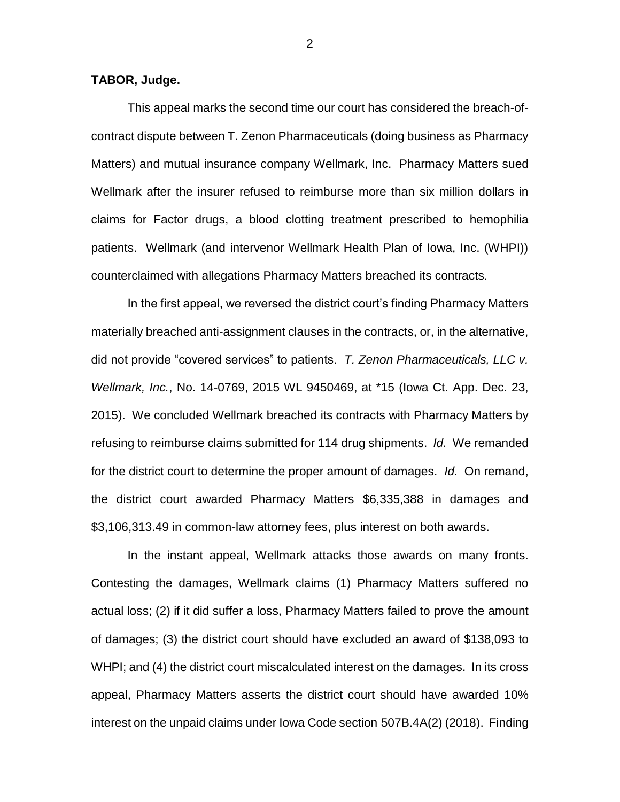### **TABOR, Judge.**

This appeal marks the second time our court has considered the breach-ofcontract dispute between T. Zenon Pharmaceuticals (doing business as Pharmacy Matters) and mutual insurance company Wellmark, Inc. Pharmacy Matters sued Wellmark after the insurer refused to reimburse more than six million dollars in claims for Factor drugs, a blood clotting treatment prescribed to hemophilia patients. Wellmark (and intervenor Wellmark Health Plan of Iowa, Inc. (WHPI)) counterclaimed with allegations Pharmacy Matters breached its contracts.

In the first appeal, we reversed the district court's finding Pharmacy Matters materially breached anti-assignment clauses in the contracts, or, in the alternative, did not provide "covered services" to patients. *T. Zenon Pharmaceuticals, LLC v. Wellmark, Inc.*, No. 14-0769, 2015 WL 9450469, at \*15 (Iowa Ct. App. Dec. 23, 2015). We concluded Wellmark breached its contracts with Pharmacy Matters by refusing to reimburse claims submitted for 114 drug shipments. *Id.* We remanded for the district court to determine the proper amount of damages. *Id.* On remand, the district court awarded Pharmacy Matters \$6,335,388 in damages and \$3,106,313.49 in common-law attorney fees, plus interest on both awards.

In the instant appeal, Wellmark attacks those awards on many fronts. Contesting the damages, Wellmark claims (1) Pharmacy Matters suffered no actual loss; (2) if it did suffer a loss, Pharmacy Matters failed to prove the amount of damages; (3) the district court should have excluded an award of \$138,093 to WHPI; and (4) the district court miscalculated interest on the damages. In its cross appeal, Pharmacy Matters asserts the district court should have awarded 10% interest on the unpaid claims under Iowa Code section 507B.4A(2) (2018). Finding

2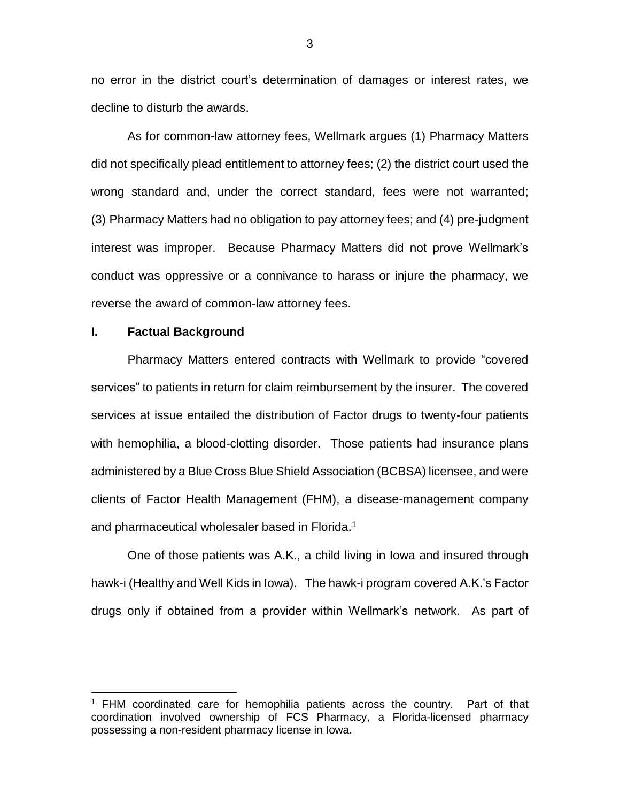no error in the district court's determination of damages or interest rates, we decline to disturb the awards.

As for common-law attorney fees, Wellmark argues (1) Pharmacy Matters did not specifically plead entitlement to attorney fees; (2) the district court used the wrong standard and, under the correct standard, fees were not warranted; (3) Pharmacy Matters had no obligation to pay attorney fees; and (4) pre-judgment interest was improper. Because Pharmacy Matters did not prove Wellmark's conduct was oppressive or a connivance to harass or injure the pharmacy, we reverse the award of common-law attorney fees.

## **I. Factual Background**

 $\overline{a}$ 

Pharmacy Matters entered contracts with Wellmark to provide "covered services" to patients in return for claim reimbursement by the insurer. The covered services at issue entailed the distribution of Factor drugs to twenty-four patients with hemophilia, a blood-clotting disorder. Those patients had insurance plans administered by a Blue Cross Blue Shield Association (BCBSA) licensee, and were clients of Factor Health Management (FHM), a disease-management company and pharmaceutical wholesaler based in Florida.<sup>1</sup>

One of those patients was A.K., a child living in Iowa and insured through hawk-i (Healthy and Well Kids in Iowa). The hawk-i program covered A.K.'s Factor drugs only if obtained from a provider within Wellmark's network. As part of

<sup>1</sup> FHM coordinated care for hemophilia patients across the country. Part of that coordination involved ownership of FCS Pharmacy, a Florida-licensed pharmacy possessing a non-resident pharmacy license in Iowa.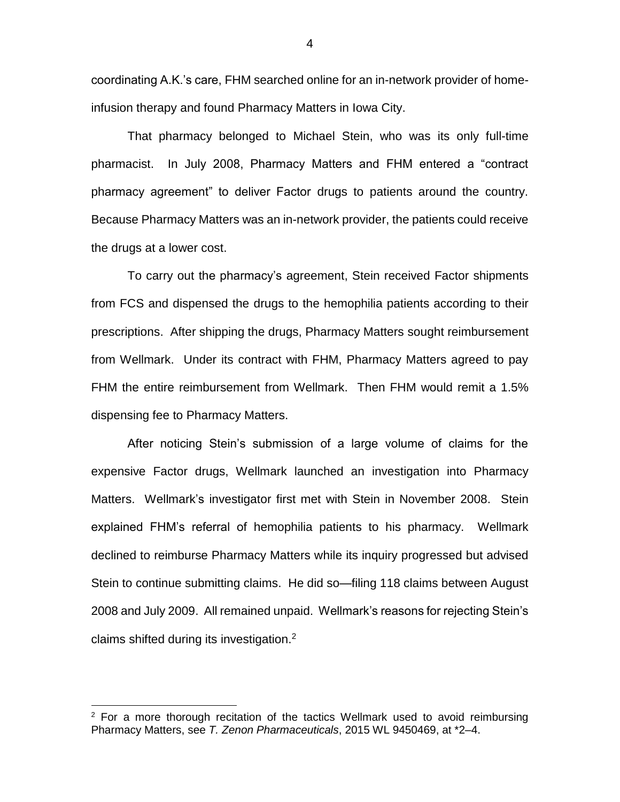coordinating A.K.'s care, FHM searched online for an in-network provider of homeinfusion therapy and found Pharmacy Matters in Iowa City.

That pharmacy belonged to Michael Stein, who was its only full-time pharmacist. In July 2008, Pharmacy Matters and FHM entered a "contract pharmacy agreement" to deliver Factor drugs to patients around the country. Because Pharmacy Matters was an in-network provider, the patients could receive the drugs at a lower cost.

To carry out the pharmacy's agreement, Stein received Factor shipments from FCS and dispensed the drugs to the hemophilia patients according to their prescriptions. After shipping the drugs, Pharmacy Matters sought reimbursement from Wellmark. Under its contract with FHM, Pharmacy Matters agreed to pay FHM the entire reimbursement from Wellmark. Then FHM would remit a 1.5% dispensing fee to Pharmacy Matters.

After noticing Stein's submission of a large volume of claims for the expensive Factor drugs, Wellmark launched an investigation into Pharmacy Matters. Wellmark's investigator first met with Stein in November 2008. Stein explained FHM's referral of hemophilia patients to his pharmacy. Wellmark declined to reimburse Pharmacy Matters while its inquiry progressed but advised Stein to continue submitting claims. He did so—filing 118 claims between August 2008 and July 2009. All remained unpaid. Wellmark's reasons for rejecting Stein's claims shifted during its investigation. $2$ 

 $\overline{a}$ 

 $2$  For a more thorough recitation of the tactics Wellmark used to avoid reimbursing Pharmacy Matters, see *T. Zenon Pharmaceuticals*, 2015 WL 9450469, at \*2–4.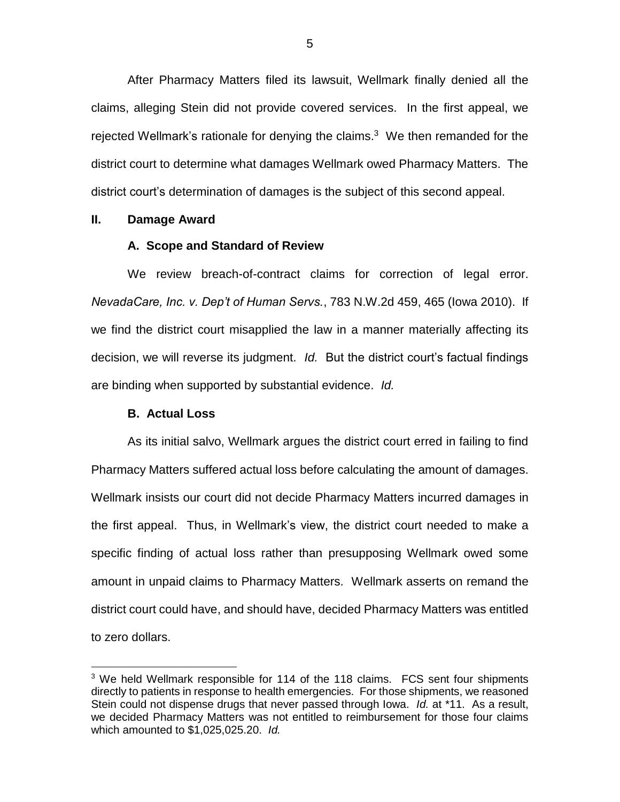After Pharmacy Matters filed its lawsuit, Wellmark finally denied all the claims, alleging Stein did not provide covered services. In the first appeal, we rejected Wellmark's rationale for denying the claims. $3$  We then remanded for the district court to determine what damages Wellmark owed Pharmacy Matters. The district court's determination of damages is the subject of this second appeal.

## **II. Damage Award**

#### **A. Scope and Standard of Review**

We review breach-of-contract claims for correction of legal error. *NevadaCare, Inc. v. Dep't of Human Servs.*, 783 N.W.2d 459, 465 (Iowa 2010). If we find the district court misapplied the law in a manner materially affecting its decision, we will reverse its judgment. *Id.* But the district court's factual findings are binding when supported by substantial evidence. *Id.*

## **B. Actual Loss**

 $\overline{a}$ 

As its initial salvo, Wellmark argues the district court erred in failing to find Pharmacy Matters suffered actual loss before calculating the amount of damages. Wellmark insists our court did not decide Pharmacy Matters incurred damages in the first appeal. Thus, in Wellmark's view, the district court needed to make a specific finding of actual loss rather than presupposing Wellmark owed some amount in unpaid claims to Pharmacy Matters. Wellmark asserts on remand the district court could have, and should have, decided Pharmacy Matters was entitled to zero dollars.

 $3$  We held Wellmark responsible for 114 of the 118 claims. FCS sent four shipments directly to patients in response to health emergencies. For those shipments, we reasoned Stein could not dispense drugs that never passed through Iowa. *Id.* at \*11. As a result, we decided Pharmacy Matters was not entitled to reimbursement for those four claims which amounted to \$1,025,025.20. *Id.*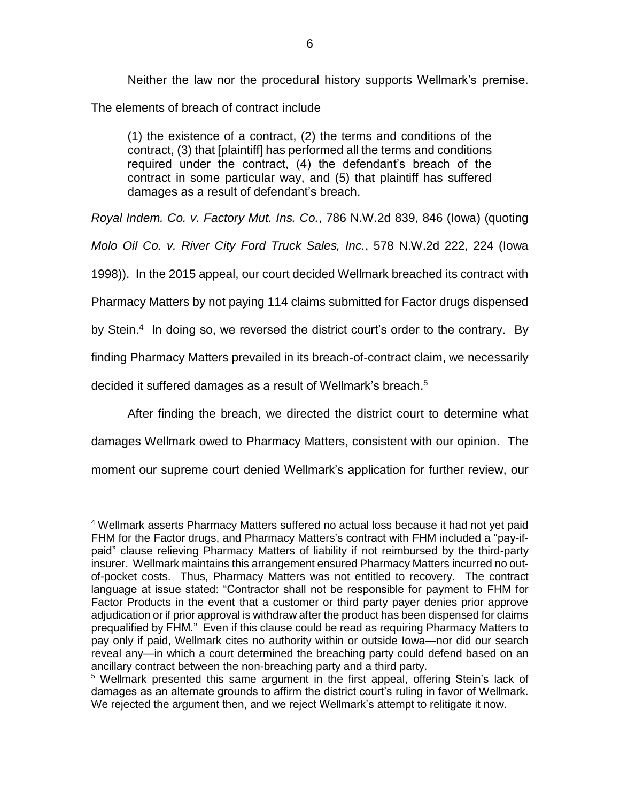Neither the law nor the procedural history supports Wellmark's premise.

The elements of breach of contract include

(1) the existence of a contract, (2) the terms and conditions of the contract, (3) that [plaintiff] has performed all the terms and conditions required under the contract, (4) the defendant's breach of the contract in some particular way, and (5) that plaintiff has suffered damages as a result of defendant's breach.

*Royal Indem. Co. v. Factory Mut. Ins. Co.*, 786 N.W.2d 839, 846 (Iowa) (quoting

*Molo Oil Co. v. River City Ford Truck Sales, Inc.*, 578 N.W.2d 222, 224 (Iowa

1998)). In the 2015 appeal, our court decided Wellmark breached its contract with

Pharmacy Matters by not paying 114 claims submitted for Factor drugs dispensed

by Stein.<sup>4</sup> In doing so, we reversed the district court's order to the contrary. By

finding Pharmacy Matters prevailed in its breach-of-contract claim, we necessarily

decided it suffered damages as a result of Wellmark's breach. 5

After finding the breach, we directed the district court to determine what

damages Wellmark owed to Pharmacy Matters, consistent with our opinion. The

moment our supreme court denied Wellmark's application for further review, our

 $\overline{a}$ <sup>4</sup> Wellmark asserts Pharmacy Matters suffered no actual loss because it had not yet paid FHM for the Factor drugs, and Pharmacy Matters's contract with FHM included a "pay-ifpaid" clause relieving Pharmacy Matters of liability if not reimbursed by the third-party insurer. Wellmark maintains this arrangement ensured Pharmacy Matters incurred no outof-pocket costs. Thus, Pharmacy Matters was not entitled to recovery. The contract language at issue stated: "Contractor shall not be responsible for payment to FHM for Factor Products in the event that a customer or third party payer denies prior approve adjudication or if prior approval is withdraw after the product has been dispensed for claims prequalified by FHM." Even if this clause could be read as requiring Pharmacy Matters to pay only if paid, Wellmark cites no authority within or outside Iowa—nor did our search reveal any—in which a court determined the breaching party could defend based on an ancillary contract between the non-breaching party and a third party.

<sup>&</sup>lt;sup>5</sup> Wellmark presented this same argument in the first appeal, offering Stein's lack of damages as an alternate grounds to affirm the district court's ruling in favor of Wellmark. We rejected the argument then, and we reject Wellmark's attempt to relitigate it now.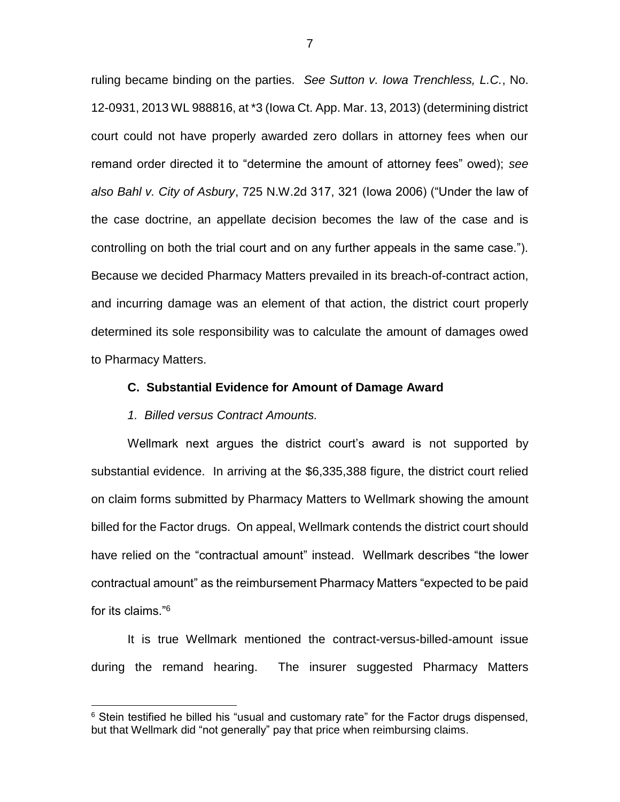ruling became binding on the parties. *See Sutton v. Iowa Trenchless, L.C.*, No. 12-0931, 2013 WL 988816, at \*3 (Iowa Ct. App. Mar. 13, 2013) (determining district court could not have properly awarded zero dollars in attorney fees when our remand order directed it to "determine the amount of attorney fees" owed); *see also Bahl v. City of Asbury*, 725 N.W.2d 317, 321 (Iowa 2006) ("Under the law of the case doctrine, an appellate decision becomes the law of the case and is controlling on both the trial court and on any further appeals in the same case."). Because we decided Pharmacy Matters prevailed in its breach-of-contract action, and incurring damage was an element of that action, the district court properly determined its sole responsibility was to calculate the amount of damages owed to Pharmacy Matters.

#### **C. Substantial Evidence for Amount of Damage Award**

#### *1. Billed versus Contract Amounts.*

 $\overline{a}$ 

Wellmark next argues the district court's award is not supported by substantial evidence. In arriving at the \$6,335,388 figure, the district court relied on claim forms submitted by Pharmacy Matters to Wellmark showing the amount billed for the Factor drugs. On appeal, Wellmark contends the district court should have relied on the "contractual amount" instead. Wellmark describes "the lower contractual amount" as the reimbursement Pharmacy Matters "expected to be paid for its claims."<sup>6</sup>

It is true Wellmark mentioned the contract-versus-billed-amount issue during the remand hearing. The insurer suggested Pharmacy Matters

<sup>&</sup>lt;sup>6</sup> Stein testified he billed his "usual and customary rate" for the Factor drugs dispensed, but that Wellmark did "not generally" pay that price when reimbursing claims.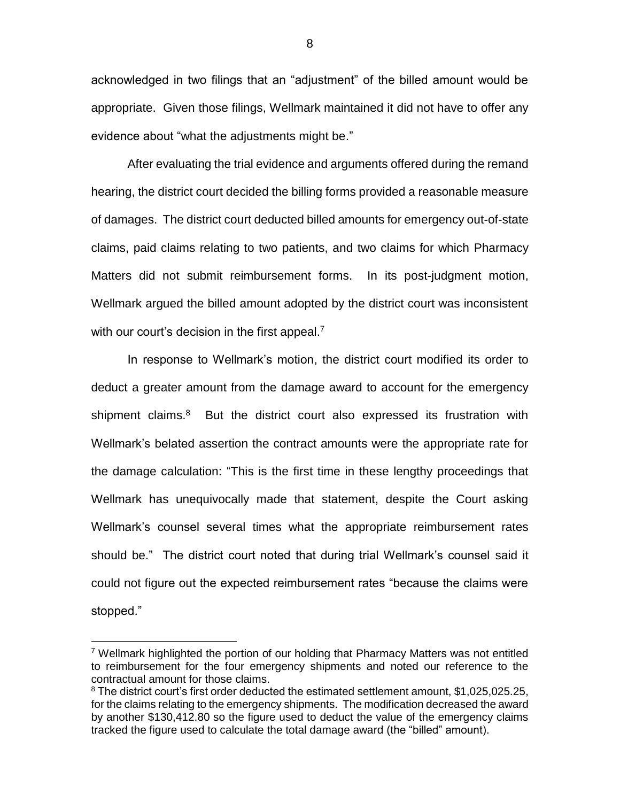acknowledged in two filings that an "adjustment" of the billed amount would be appropriate. Given those filings, Wellmark maintained it did not have to offer any evidence about "what the adjustments might be."

After evaluating the trial evidence and arguments offered during the remand hearing, the district court decided the billing forms provided a reasonable measure of damages. The district court deducted billed amounts for emergency out-of-state claims, paid claims relating to two patients, and two claims for which Pharmacy Matters did not submit reimbursement forms. In its post-judgment motion, Wellmark argued the billed amount adopted by the district court was inconsistent with our court's decision in the first appeal.<sup>7</sup>

In response to Wellmark's motion, the district court modified its order to deduct a greater amount from the damage award to account for the emergency shipment claims.<sup>8</sup> But the district court also expressed its frustration with Wellmark's belated assertion the contract amounts were the appropriate rate for the damage calculation: "This is the first time in these lengthy proceedings that Wellmark has unequivocally made that statement, despite the Court asking Wellmark's counsel several times what the appropriate reimbursement rates should be." The district court noted that during trial Wellmark's counsel said it could not figure out the expected reimbursement rates "because the claims were stopped."

 $\overline{a}$ 

 $7$  Wellmark highlighted the portion of our holding that Pharmacy Matters was not entitled to reimbursement for the four emergency shipments and noted our reference to the contractual amount for those claims.

 $8$  The district court's first order deducted the estimated settlement amount, \$1,025,025,25, for the claims relating to the emergency shipments. The modification decreased the award by another \$130,412.80 so the figure used to deduct the value of the emergency claims tracked the figure used to calculate the total damage award (the "billed" amount).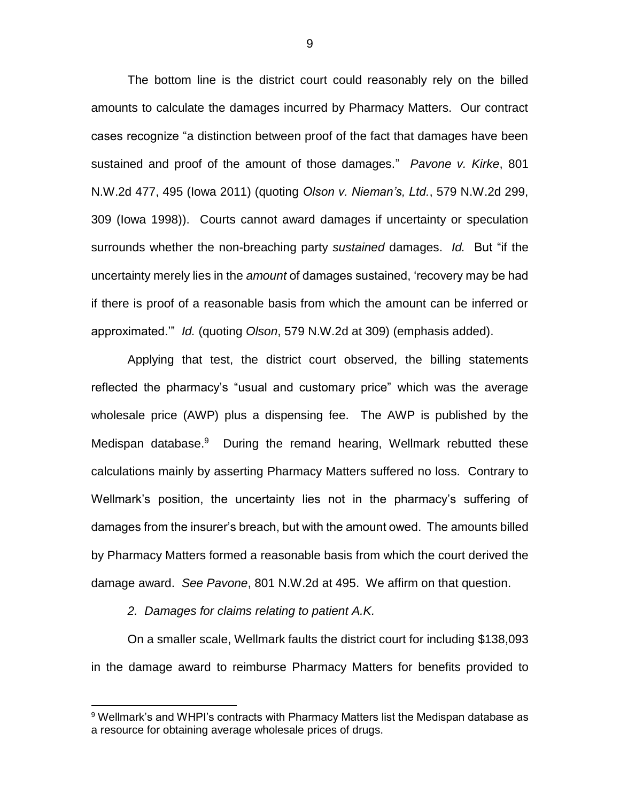The bottom line is the district court could reasonably rely on the billed amounts to calculate the damages incurred by Pharmacy Matters. Our contract cases recognize "a distinction between proof of the fact that damages have been sustained and proof of the amount of those damages." *Pavone v. Kirke*, 801 N.W.2d 477, 495 (Iowa 2011) (quoting *Olson v. Nieman's, Ltd.*, 579 N.W.2d 299, 309 (Iowa 1998)). Courts cannot award damages if uncertainty or speculation surrounds whether the non-breaching party *sustained* damages. *Id.* But "if the uncertainty merely lies in the *amount* of damages sustained, 'recovery may be had if there is proof of a reasonable basis from which the amount can be inferred or approximated.'" *Id.* (quoting *Olson*, 579 N.W.2d at 309) (emphasis added).

Applying that test, the district court observed, the billing statements reflected the pharmacy's "usual and customary price" which was the average wholesale price (AWP) plus a dispensing fee. The AWP is published by the Medispan database.<sup>9</sup> During the remand hearing, Wellmark rebutted these calculations mainly by asserting Pharmacy Matters suffered no loss. Contrary to Wellmark's position, the uncertainty lies not in the pharmacy's suffering of damages from the insurer's breach, but with the amount owed. The amounts billed by Pharmacy Matters formed a reasonable basis from which the court derived the damage award. *See Pavone*, 801 N.W.2d at 495. We affirm on that question.

*2. Damages for claims relating to patient A.K.*

 $\overline{a}$ 

On a smaller scale, Wellmark faults the district court for including \$138,093 in the damage award to reimburse Pharmacy Matters for benefits provided to

<sup>&</sup>lt;sup>9</sup> Wellmark's and WHPI's contracts with Pharmacy Matters list the Medispan database as a resource for obtaining average wholesale prices of drugs.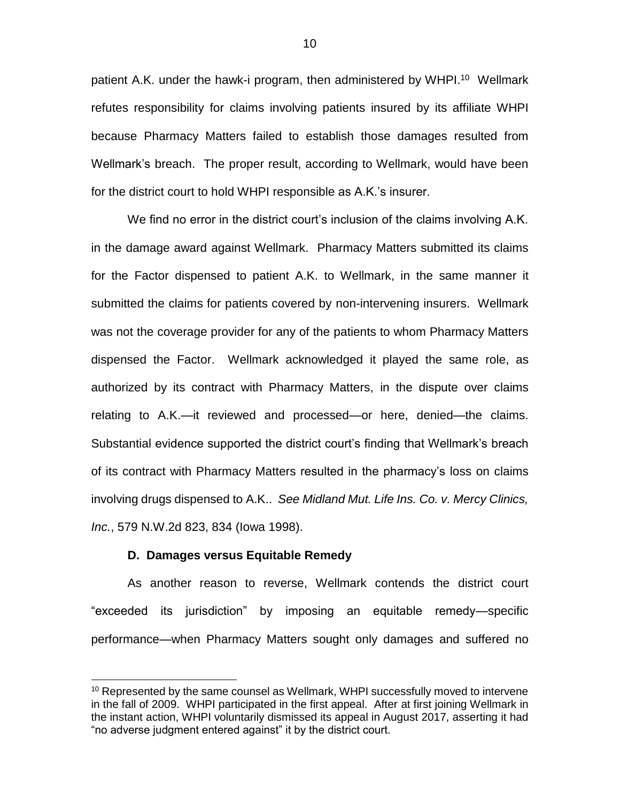patient A.K. under the hawk-i program, then administered by WHPI.<sup>10</sup> Wellmark refutes responsibility for claims involving patients insured by its affiliate WHPI because Pharmacy Matters failed to establish those damages resulted from Wellmark's breach. The proper result, according to Wellmark, would have been for the district court to hold WHPI responsible as A.K.'s insurer.

We find no error in the district court's inclusion of the claims involving A.K. in the damage award against Wellmark. Pharmacy Matters submitted its claims for the Factor dispensed to patient A.K. to Wellmark, in the same manner it submitted the claims for patients covered by non-intervening insurers. Wellmark was not the coverage provider for any of the patients to whom Pharmacy Matters dispensed the Factor. Wellmark acknowledged it played the same role, as authorized by its contract with Pharmacy Matters, in the dispute over claims relating to A.K.—it reviewed and processed—or here, denied—the claims. Substantial evidence supported the district court's finding that Wellmark's breach of its contract with Pharmacy Matters resulted in the pharmacy's loss on claims involving drugs dispensed to A.K.. *See Midland Mut. Life Ins. Co. v. Mercy Clinics, Inc.*, 579 N.W.2d 823, 834 (Iowa 1998).

# **D. Damages versus Equitable Remedy**

 $\overline{a}$ 

As another reason to reverse, Wellmark contends the district court "exceeded its jurisdiction" by imposing an equitable remedy—specific performance—when Pharmacy Matters sought only damages and suffered no

 $10$  Represented by the same counsel as Wellmark, WHPI successfully moved to intervene in the fall of 2009. WHPI participated in the first appeal. After at first joining Wellmark in the instant action, WHPI voluntarily dismissed its appeal in August 2017, asserting it had "no adverse judgment entered against" it by the district court.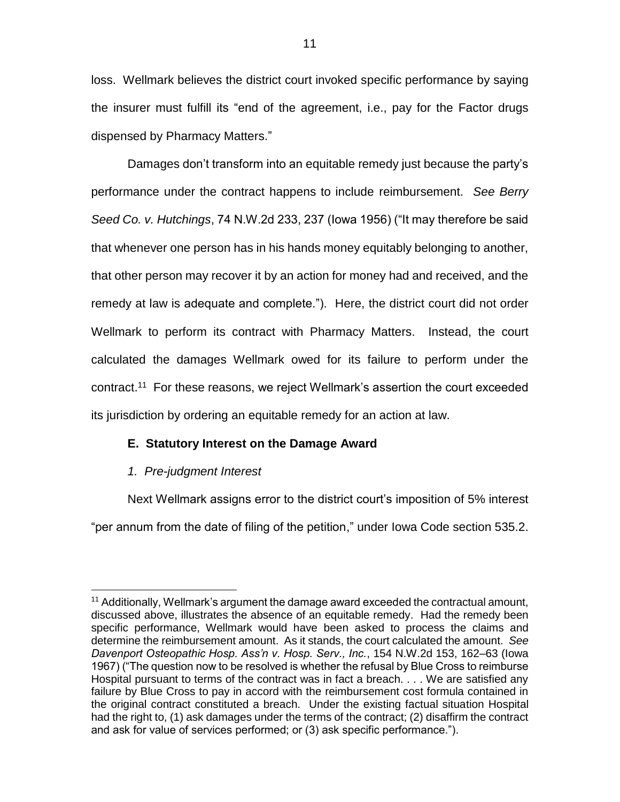loss. Wellmark believes the district court invoked specific performance by saying the insurer must fulfill its "end of the agreement, i.e., pay for the Factor drugs dispensed by Pharmacy Matters."

Damages don't transform into an equitable remedy just because the party's performance under the contract happens to include reimbursement. *See Berry Seed Co. v. Hutchings*, 74 N.W.2d 233, 237 (Iowa 1956) ("It may therefore be said that whenever one person has in his hands money equitably belonging to another, that other person may recover it by an action for money had and received, and the remedy at law is adequate and complete."). Here, the district court did not order Wellmark to perform its contract with Pharmacy Matters. Instead, the court calculated the damages Wellmark owed for its failure to perform under the contract.<sup>11</sup> For these reasons, we reject Wellmark's assertion the court exceeded its jurisdiction by ordering an equitable remedy for an action at law.

# **E. Statutory Interest on the Damage Award**

# *1. Pre-judgment Interest*

Next Wellmark assigns error to the district court's imposition of 5% interest "per annum from the date of filing of the petition," under Iowa Code section 535.2.

 $\overline{a}$  $11$  Additionally, Wellmark's argument the damage award exceeded the contractual amount, discussed above, illustrates the absence of an equitable remedy. Had the remedy been specific performance, Wellmark would have been asked to process the claims and determine the reimbursement amount. As it stands, the court calculated the amount. *See Davenport Osteopathic Hosp. Ass'n v. Hosp. Serv., Inc.*, 154 N.W.2d 153, 162–63 (Iowa 1967) ("The question now to be resolved is whether the refusal by Blue Cross to reimburse Hospital pursuant to terms of the contract was in fact a breach. . . . We are satisfied any failure by Blue Cross to pay in accord with the reimbursement cost formula contained in the original contract constituted a breach. Under the existing factual situation Hospital had the right to, (1) ask damages under the terms of the contract; (2) disaffirm the contract and ask for value of services performed; or (3) ask specific performance.").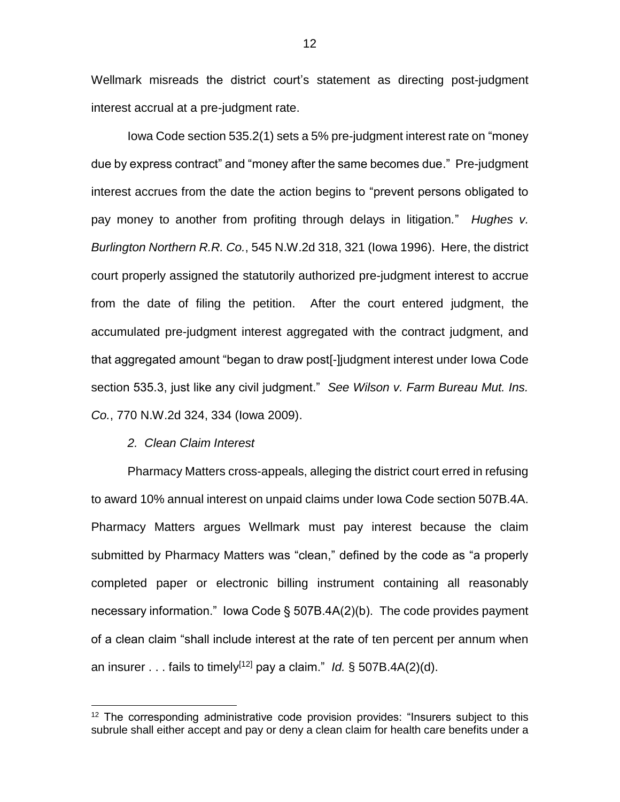Wellmark misreads the district court's statement as directing post-judgment interest accrual at a pre-judgment rate.

Iowa Code section 535.2(1) sets a 5% pre-judgment interest rate on "money due by express contract" and "money after the same becomes due." Pre-judgment interest accrues from the date the action begins to "prevent persons obligated to pay money to another from profiting through delays in litigation*.*" *Hughes v. Burlington Northern R.R. Co.*, 545 N.W.2d 318, 321 (Iowa 1996). Here, the district court properly assigned the statutorily authorized pre-judgment interest to accrue from the date of filing the petition. After the court entered judgment, the accumulated pre-judgment interest aggregated with the contract judgment, and that aggregated amount "began to draw post[-]judgment interest under Iowa Code section 535.3, just like any civil judgment." *See Wilson v. Farm Bureau Mut. Ins. Co.*, 770 N.W.2d 324, 334 (Iowa 2009).

#### *2. Clean Claim Interest*

 $\overline{a}$ 

Pharmacy Matters cross-appeals, alleging the district court erred in refusing to award 10% annual interest on unpaid claims under Iowa Code section 507B.4A. Pharmacy Matters argues Wellmark must pay interest because the claim submitted by Pharmacy Matters was "clean," defined by the code as "a properly completed paper or electronic billing instrument containing all reasonably necessary information." Iowa Code § 507B.4A(2)(b). The code provides payment of a clean claim "shall include interest at the rate of ten percent per annum when an insurer . . . fails to timely[12] pay a claim." *Id.* § 507B.4A(2)(d).

 $12$  The corresponding administrative code provision provides: "Insurers subject to this subrule shall either accept and pay or deny a clean claim for health care benefits under a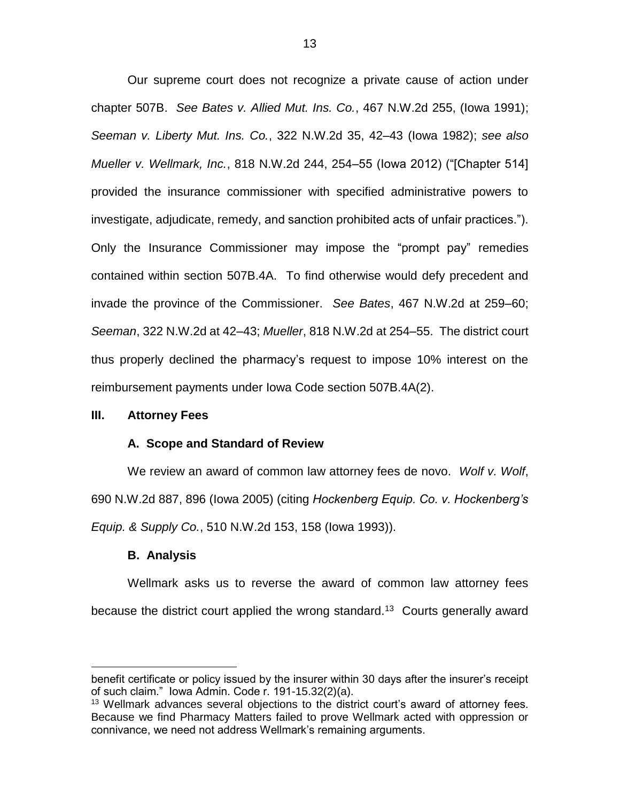Our supreme court does not recognize a private cause of action under chapter 507B. *See Bates v. Allied Mut. Ins. Co.*, 467 N.W.2d 255, (Iowa 1991); *Seeman v. Liberty Mut. Ins. Co.*, 322 N.W.2d 35, 42–43 (Iowa 1982); *see also Mueller v. Wellmark, Inc.*, 818 N.W.2d 244, 254–55 (Iowa 2012) ("[Chapter 514] provided the insurance commissioner with specified administrative powers to investigate, adjudicate, remedy, and sanction prohibited acts of unfair practices."). Only the Insurance Commissioner may impose the "prompt pay" remedies contained within section 507B.4A. To find otherwise would defy precedent and invade the province of the Commissioner. *See Bates*, 467 N.W.2d at 259–60; *Seeman*, 322 N.W.2d at 42–43; *Mueller*, 818 N.W.2d at 254–55. The district court thus properly declined the pharmacy's request to impose 10% interest on the reimbursement payments under Iowa Code section 507B.4A(2).

## **III. Attorney Fees**

#### **A. Scope and Standard of Review**

We review an award of common law attorney fees de novo. *Wolf v. Wolf*, 690 N.W.2d 887, 896 (Iowa 2005) (citing *Hockenberg Equip. Co. v. Hockenberg's Equip. & Supply Co.*, 510 N.W.2d 153, 158 (Iowa 1993)).

#### **B. Analysis**

 $\overline{a}$ 

Wellmark asks us to reverse the award of common law attorney fees because the district court applied the wrong standard.<sup>13</sup> Courts generally award

benefit certificate or policy issued by the insurer within 30 days after the insurer's receipt of such claim." Iowa Admin. Code r. 191-15.32(2)(a).

<sup>&</sup>lt;sup>13</sup> Wellmark advances several objections to the district court's award of attorney fees. Because we find Pharmacy Matters failed to prove Wellmark acted with oppression or connivance, we need not address Wellmark's remaining arguments.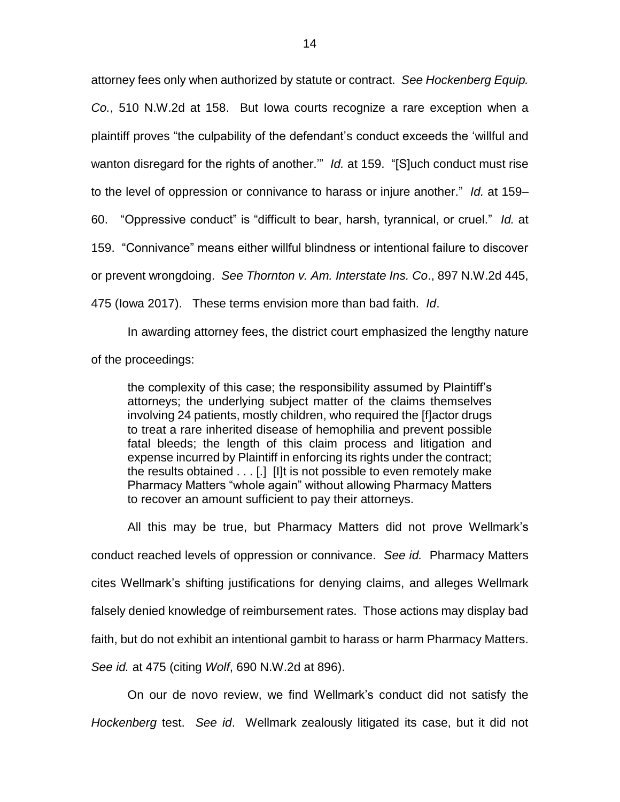attorney fees only when authorized by statute or contract. *See Hockenberg Equip. Co.*, 510 N.W.2d at 158. But Iowa courts recognize a rare exception when a plaintiff proves "the culpability of the defendant's conduct exceeds the 'willful and wanton disregard for the rights of another.'" *Id.* at 159. "[S]uch conduct must rise to the level of oppression or connivance to harass or injure another." *Id.* at 159– 60. "Oppressive conduct" is "difficult to bear, harsh, tyrannical, or cruel." *Id.* at 159. "Connivance" means either willful blindness or intentional failure to discover or prevent wrongdoing. *See Thornton v. Am. Interstate Ins. Co*., 897 N.W.2d 445, 475 (Iowa 2017). These terms envision more than bad faith. *Id*.

In awarding attorney fees, the district court emphasized the lengthy nature of the proceedings:

the complexity of this case; the responsibility assumed by Plaintiff's attorneys; the underlying subject matter of the claims themselves involving 24 patients, mostly children, who required the [f]actor drugs to treat a rare inherited disease of hemophilia and prevent possible fatal bleeds; the length of this claim process and litigation and expense incurred by Plaintiff in enforcing its rights under the contract; the results obtained . . . [.] [I]t is not possible to even remotely make Pharmacy Matters "whole again" without allowing Pharmacy Matters to recover an amount sufficient to pay their attorneys.

All this may be true, but Pharmacy Matters did not prove Wellmark's conduct reached levels of oppression or connivance. *See id.* Pharmacy Matters cites Wellmark's shifting justifications for denying claims, and alleges Wellmark falsely denied knowledge of reimbursement rates. Those actions may display bad faith, but do not exhibit an intentional gambit to harass or harm Pharmacy Matters. *See id.* at 475 (citing *Wolf*, 690 N.W.2d at 896).

On our de novo review, we find Wellmark's conduct did not satisfy the *Hockenberg* test. *See id*. Wellmark zealously litigated its case, but it did not